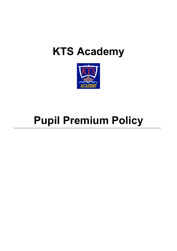# **KTS Academy**



# **Pupil Premium Policy**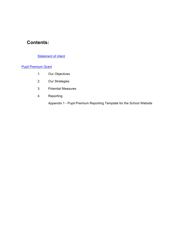## **Contents:**

#### **Statement of intent**

#### Pupil Premium Grant

- 1. Our Objectives
- 2. Our Strategies
- 3. Potential Measures
- 4. Reporting

Appendix 1 - Pupil Premium Reporting Template for the School Website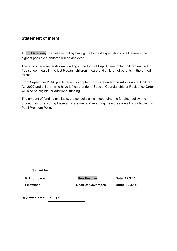## **Statement of intent**

At KTS Academy, we believe that by having the highest expectations of all learners the highest possible standards will be achieved.

The school receives additional funding in the form of Pupil Premium for children entitled to free school meals in the last 6 years, children in care and children of parents in the armed forces.

From September 2014, pupils recently adopted from care under the Adoption and Children Act 2002 and children who have left care under a Special Guardianship or Residence Order will also be eligible for additional funding.

The amount of funding available, the school's aims in spending the funding, policy and procedures for ensuring these aims are met and reporting measures are all provided in this Pupil Premium Policy.

| <b>Signed by</b>      |        |                           |               |
|-----------------------|--------|---------------------------|---------------|
| <b>K</b> Thompson     |        | <b>Headteacher</b>        | Date: 12.3.15 |
| <b>Bowman</b>         |        | <b>Chair of Governors</b> | Date: 12.3.15 |
| <b>Reviewed date:</b> | 1.9.17 |                           |               |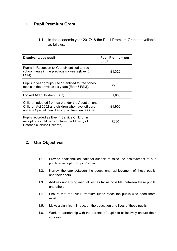## **1. Pupil Premium Grant**

1.1. In the academic year 2017/18 the Pupil Premium Grant is available as follows:

| Disadvantaged pupil                                                                                                                                        | <b>Pupil Premium per</b><br>pupil |
|------------------------------------------------------------------------------------------------------------------------------------------------------------|-----------------------------------|
| Pupils in Reception to Year six entitled to free<br>school meals in the previous six years (Ever 6<br>FSM).                                                | £1,320                            |
| Pupils in year groups 7 to 11 entitled to free school<br>meals in the previous six years (Ever 6 FSM).                                                     | £935                              |
| Looked After Children (LAC).                                                                                                                               | £1,900                            |
| Children adopted from care under the Adoption and<br>Children Act 2002 and children who have left care<br>under a Special Guardianship or Residence Order. | £1,900                            |
| Pupils recorded as Ever 4 Service Child or in<br>receipt of a child pension from the Ministry of<br>Defence (Service Children).                            | £300                              |

## **2. Our Objectives**

- 1.1. Provide additional educational support to raise the achievement of our pupils in receipt of Pupil Premium.
- 1.2. Narrow the gap between the educational achievement of these pupils and their peers.
- 1.3. Address underlying inequalities, as far as possible, between these pupils and others.
- 1.4. Ensure that the Pupil Premium funds reach the pupils who need them most.
- 1.5. Make a significant impact on the education and lives of these pupils.
- 1.6. Work in partnership with the parents of pupils to collectively ensure their success.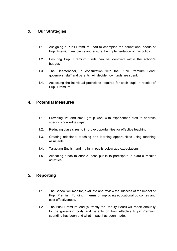## **3. Our Strategies**

- 1.1. Assigning a Pupil Premium Lead to champion the educational needs of Pupil Premium recipients and ensure the implementation of this policy.
- 1.2. Ensuring Pupil Premium funds can be identified within the school's budget.
- 1.3. The Headteacher, in consultation with the Pupil Premium Lead, governors, staff and parents, will decide how funds are spent.
- 1.4. Assessing the individual provisions required for each pupil in receipt of Pupil Premium.

### **4. Potential Measures**

- 1.1. Providing 1:1 and small group work with experienced staff to address specific knowledge gaps.
- 1.2. Reducing class sizes to improve opportunities for effective teaching.
- 1.3. Creating additional teaching and learning opportunities using teaching assistants.
- 1.4. Targeting English and maths in pupils below age expectations.
- 1.5. Allocating funds to enable these pupils to participate in extra-curricular activities.

### **5. Reporting**

- 1.1. The School will monitor, evaluate and review the success of the impact of Pupil Premium Funding in terms of improving educational outcomes and cost effectiveness.
- 1.2. The Pupil Premium lead (currently the Deputy Head) will report annually to the governing body and parents on how effective Pupil Premium spending has been and what impact has been made.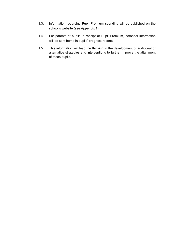- 1.3. Information regarding Pupil Premium spending will be published on the school's website (see Appendix 1).
- 1.4. For parents of pupils in receipt of Pupil Premium, personal information will be sent home in pupils' progress reports.
- 1.5. This information will lead the thinking in the development of additional or alternative strategies and interventions to further improve the attainment of these pupils.